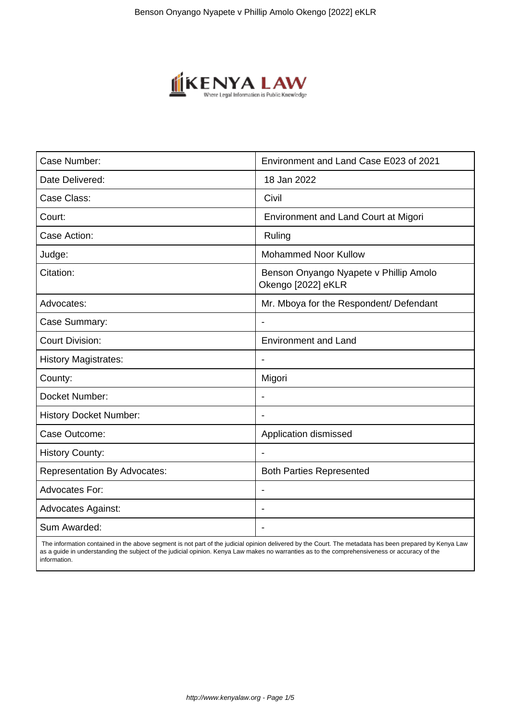

| Case Number:                        | Environment and Land Case E023 of 2021                       |
|-------------------------------------|--------------------------------------------------------------|
| Date Delivered:                     | 18 Jan 2022                                                  |
| Case Class:                         | Civil                                                        |
| Court:                              | <b>Environment and Land Court at Migori</b>                  |
| Case Action:                        | Ruling                                                       |
| Judge:                              | <b>Mohammed Noor Kullow</b>                                  |
| Citation:                           | Benson Onyango Nyapete v Phillip Amolo<br>Okengo [2022] eKLR |
| Advocates:                          | Mr. Mboya for the Respondent/ Defendant                      |
| Case Summary:                       |                                                              |
| <b>Court Division:</b>              | <b>Environment and Land</b>                                  |
| <b>History Magistrates:</b>         | $\overline{\phantom{a}}$                                     |
| County:                             | Migori                                                       |
| Docket Number:                      |                                                              |
| <b>History Docket Number:</b>       |                                                              |
| Case Outcome:                       | Application dismissed                                        |
| <b>History County:</b>              | $\blacksquare$                                               |
| <b>Representation By Advocates:</b> | <b>Both Parties Represented</b>                              |
| <b>Advocates For:</b>               |                                                              |
| <b>Advocates Against:</b>           |                                                              |
| Sum Awarded:                        |                                                              |

 The information contained in the above segment is not part of the judicial opinion delivered by the Court. The metadata has been prepared by Kenya Law as a guide in understanding the subject of the judicial opinion. Kenya Law makes no warranties as to the comprehensiveness or accuracy of the information.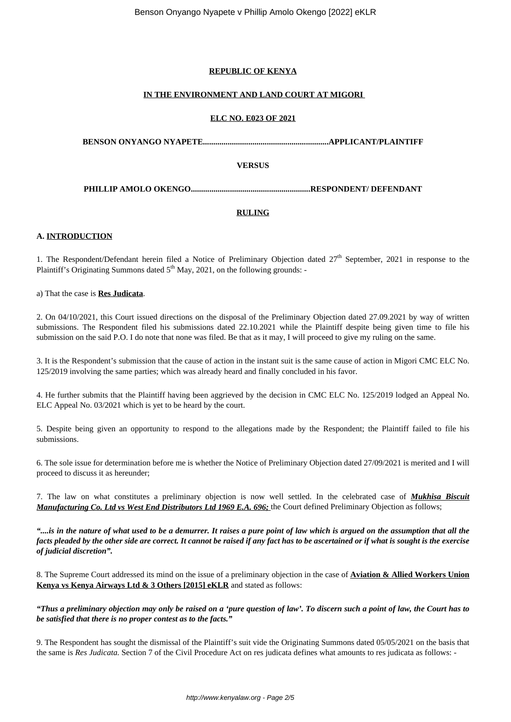### **REPUBLIC OF KENYA**

#### **IN THE ENVIRONMENT AND LAND COURT AT MIGORI**

#### **ELC NO. E023 OF 2021**

**BENSON ONYANGO NYAPETE.............................................................APPLICANT/PLAINTIFF**

# **VERSUS**

**PHILLIP AMOLO OKENGO..........................................................RESPONDENT/ DEFENDANT**

## **RULING**

#### **A. INTRODUCTION**

1. The Respondent/Defendant herein filed a Notice of Preliminary Objection dated  $27<sup>th</sup>$  September, 2021 in response to the Plaintiff's Originating Summons dated  $5<sup>th</sup>$  May, 2021, on the following grounds: -

#### a) That the case is **Res Judicata**.

2. On 04/10/2021, this Court issued directions on the disposal of the Preliminary Objection dated 27.09.2021 by way of written submissions. The Respondent filed his submissions dated 22.10.2021 while the Plaintiff despite being given time to file his submission on the said P.O. I do note that none was filed. Be that as it may, I will proceed to give my ruling on the same.

3. It is the Respondent's submission that the cause of action in the instant suit is the same cause of action in Migori CMC ELC No. 125/2019 involving the same parties; which was already heard and finally concluded in his favor.

4. He further submits that the Plaintiff having been aggrieved by the decision in CMC ELC No. 125/2019 lodged an Appeal No. ELC Appeal No. 03/2021 which is yet to be heard by the court.

5. Despite being given an opportunity to respond to the allegations made by the Respondent; the Plaintiff failed to file his submissions.

6. The sole issue for determination before me is whether the Notice of Preliminary Objection dated 27/09/2021 is merited and I will proceed to discuss it as hereunder;

7. The law on what constitutes a preliminary objection is now well settled. In the celebrated case of *Mukhisa Biscuit Manufacturing Co. Ltd vs West End Distributors Ltd 1969 E.A. 696;* the Court defined Preliminary Objection as follows;

*"....is in the nature of what used to be a demurrer. It raises a pure point of law which is argued on the assumption that all the facts pleaded by the other side are correct. It cannot be raised if any fact has to be ascertained or if what is sought is the exercise of judicial discretion".*

8. The Supreme Court addressed its mind on the issue of a preliminary objection in the case of **Aviation & Allied Workers Union Kenya vs Kenya Airways Ltd & 3 Others [2015] eKLR** and stated as follows:

*"Thus a preliminary objection may only be raised on a 'pure question of law'. To discern such a point of law, the Court has to be satisfied that there is no proper contest as to the facts."*

9. The Respondent has sought the dismissal of the Plaintiff's suit vide the Originating Summons dated 05/05/2021 on the basis that the same is *Res Judicata.* Section 7 of the Civil Procedure Act on res judicata defines what amounts to res judicata as follows: -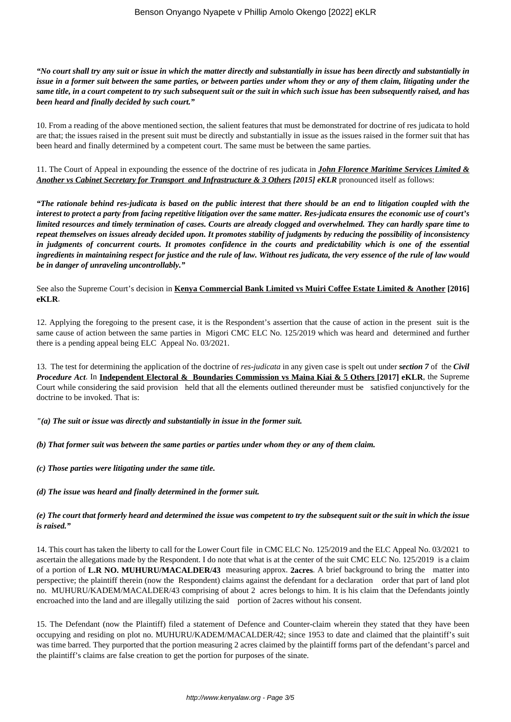#### *"No court shall try any suit or issue in which the matter directly and substantially in issue has been directly and substantially in issue in a former suit between the same parties, or between parties under whom they or any of them claim, litigating under the same title, in a court competent to try such subsequent suit or the suit in which such issue has been subsequently raised, and has been heard and finally decided by such court."*

10. From a reading of the above mentioned section, the salient features that must be demonstrated for doctrine of res judicata to hold are that; the issues raised in the present suit must be directly and substantially in issue as the issues raised in the former suit that has been heard and finally determined by a competent court. The same must be between the same parties.

11. The Court of Appeal in expounding the essence of the doctrine of res judicata in *John Florence Maritime Services Limited & Another vs Cabinet Secretary for Transport and Infrastructure & 3 Others [2015] eKLR* pronounced itself as follows:

*"The rationale behind res-judicata is based on the public interest that there should be an end to litigation coupled with the interest to protect a party from facing repetitive litigation over the same matter. Res-judicata ensures the economic use of court's limited resources and timely termination of cases. Courts are already clogged and overwhelmed. They can hardly spare time to repeat themselves on issues already decided upon. It promotes stability of judgments by reducing the possibility of inconsistency in judgments of concurrent courts. It promotes confidence in the courts and predictability which is one of the essential ingredients in maintaining respect for justice and the rule of law. Without res judicata, the very essence of the rule of law would be in danger of unraveling uncontrollably."*

See also the Supreme Court's decision in **Kenya Commercial Bank Limited vs Muiri Coffee Estate Limited & Another [2016] eKLR**.

12. Applying the foregoing to the present case, it is the Respondent's assertion that the cause of action in the present suit is the same cause of action between the same parties in Migori CMC ELC No. 125/2019 which was heard and determined and further there is a pending appeal being ELC Appeal No. 03/2021.

13. The test for determining the application of the doctrine of *res-judicata* in any given case is spelt out under *section 7* of the *Civil Procedure Act*. In **Independent Electoral & Boundaries Commission vs Maina Kiai & 5 Others [2017] eKLR**, the Supreme Court while considering the said provision held that all the elements outlined thereunder must be satisfied conjunctively for the doctrine to be invoked. That is:

*"(a) The suit or issue was directly and substantially in issue in the former suit.*

*(b) That former suit was between the same parties or parties under whom they or any of them claim.*

*(c) Those parties were litigating under the same title.*

*(d) The issue was heard and finally determined in the former suit.*

#### *(e) The court that formerly heard and determined the issue was competent to try the subsequent suit or the suit in which the issue is raised."*

14. This court has taken the liberty to call for the Lower Court file in CMC ELC No. 125/2019 and the ELC Appeal No. 03/2021 to ascertain the allegations made by the Respondent. I do note that what is at the center of the suit CMC ELC No. 125/2019 is a claim of a portion of **L.R NO. MUHURU/MACALDER/43** measuring approx. **2acres**. A brief background to bring the matter into perspective; the plaintiff therein (now the Respondent) claims against the defendant for a declaration order that part of land plot no. MUHURU/KADEM/MACALDER/43 comprising of about 2 acres belongs to him. It is his claim that the Defendants jointly encroached into the land and are illegally utilizing the said portion of 2acres without his consent.

15. The Defendant (now the Plaintiff) filed a statement of Defence and Counter-claim wherein they stated that they have been occupying and residing on plot no. MUHURU/KADEM/MACALDER/42; since 1953 to date and claimed that the plaintiff's suit was time barred. They purported that the portion measuring 2 acres claimed by the plaintiff forms part of the defendant's parcel and the plaintiff's claims are false creation to get the portion for purposes of the sinate.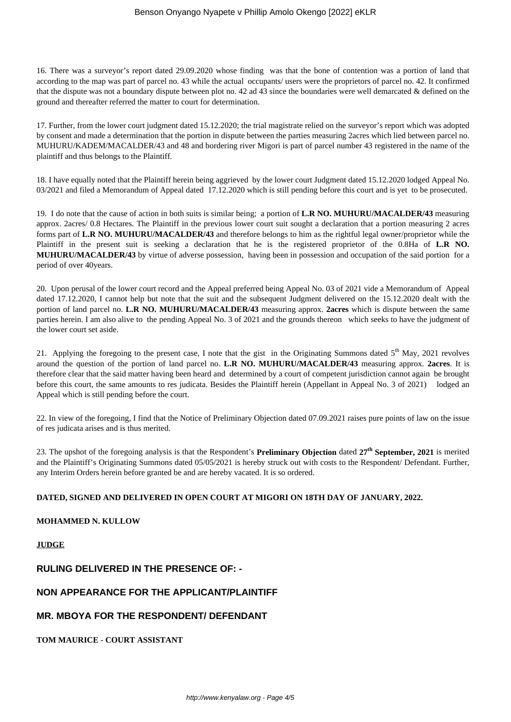16. There was a surveyor's report dated 29.09.2020 whose finding was that the bone of contention was a portion of land that according to the map was part of parcel no. 43 while the actual occupants/ users were the proprietors of parcel no. 42. It confirmed that the dispute was not a boundary dispute between plot no. 42 ad 43 since the boundaries were well demarcated & defined on the ground and thereafter referred the matter to court for determination.

17. Further, from the lower court judgment dated 15.12.2020; the trial magistrate relied on the surveyor's report which was adopted by consent and made a determination that the portion in dispute between the parties measuring 2acres which lied between parcel no. MUHURU/KADEM/MACALDER/43 and 48 and bordering river Migori is part of parcel number 43 registered in the name of the plaintiff and thus belongs to the Plaintiff.

18. I have equally noted that the Plaintiff herein being aggrieved by the lower court Judgment dated 15.12.2020 lodged Appeal No. 03/2021 and filed a Memorandum of Appeal dated 17.12.2020 which is still pending before this court and is yet to be prosecuted.

19. I do note that the cause of action in both suits is similar being; a portion of **L.R NO. MUHURU/MACALDER/43** measuring approx. 2acres/ 0.8 Hectares. The Plaintiff in the previous lower court suit sought a declaration that a portion measuring 2 acres forms part of **L.R NO. MUHURU/MACALDER/43** and therefore belongs to him as the rightful legal owner/proprietor while the Plaintiff in the present suit is seeking a declaration that he is the registered proprietor of the 0.8Ha of **L.R NO. MUHURU/MACALDER/43** by virtue of adverse possession, having been in possession and occupation of the said portion for a period of over 40years.

20. Upon perusal of the lower court record and the Appeal preferred being Appeal No. 03 of 2021 vide a Memorandum of Appeal dated 17.12.2020, I cannot help but note that the suit and the subsequent Judgment delivered on the 15.12.2020 dealt with the portion of land parcel no. **L.R NO. MUHURU/MACALDER/43** measuring approx. **2acres** which is dispute between the same parties herein. I am also alive to the pending Appeal No. 3 of 2021 and the grounds thereon which seeks to have the judgment of the lower court set aside.

21. Applying the foregoing to the present case, I note that the gist in the Originating Summons dated 5<sup>th</sup> May, 2021 revolves around the question of the portion of land parcel no. **L.R NO. MUHURU/MACALDER/43** measuring approx. **2acres**. It is therefore clear that the said matter having been heard and determined by a court of competent jurisdiction cannot again be brought before this court, the same amounts to res judicata. Besides the Plaintiff herein (Appellant in Appeal No. 3 of 2021) lodged an Appeal which is still pending before the court.

22. In view of the foregoing, I find that the Notice of Preliminary Objection dated 07.09.2021 raises pure points of law on the issue of res judicata arises and is thus merited.

23. The upshot of the foregoing analysis is that the Respondent's **Preliminary Objection** dated **27th September, 2021** is merited and the Plaintiff's Originating Summons dated 05/05/2021 is hereby struck out with costs to the Respondent/ Defendant. Further, any Interim Orders herein before granted be and are hereby vacated. It is so ordered.

### **DATED, SIGNED AND DELIVERED IN OPEN COURT AT MIGORI ON 18TH DAY OF JANUARY, 2022.**

# **MOHAMMED N. KULLOW**

**JUDGE**

## **RULING DELIVERED IN THE PRESENCE OF: -**

## **NON APPEARANCE FOR THE APPLICANT/PLAINTIFF**

## **MR. MBOYA FOR THE RESPONDENT/ DEFENDANT**

**TOM MAURICE - COURT ASSISTANT**